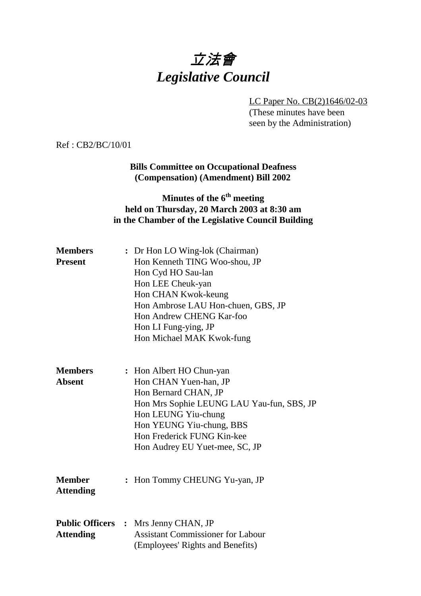# 立法會 *Legislative Council*

LC Paper No. CB(2)1646/02-03 (These minutes have been seen by the Administration)

Ref : CB2/BC/10/01

#### **Bills Committee on Occupational Deafness (Compensation) (Amendment) Bill 2002**

## **Minutes of the 6<sup>th</sup> meeting held on Thursday, 20 March 2003 at 8:30 am in the Chamber of the Legislative Council Building**

| <b>Members</b>   | : Dr Hon LO Wing-lok (Chairman)                                              |
|------------------|------------------------------------------------------------------------------|
| <b>Present</b>   | Hon Kenneth TING Woo-shou, JP                                                |
|                  | Hon Cyd HO Sau-lan                                                           |
|                  | Hon LEE Cheuk-yan                                                            |
|                  | Hon CHAN Kwok-keung                                                          |
|                  | Hon Ambrose LAU Hon-chuen, GBS, JP                                           |
|                  | Hon Andrew CHENG Kar-foo                                                     |
|                  | Hon LI Fung-ying, JP                                                         |
|                  | Hon Michael MAK Kwok-fung                                                    |
| <b>Members</b>   | : Hon Albert HO Chun-yan                                                     |
| <b>Absent</b>    | Hon CHAN Yuen-han, JP                                                        |
|                  | Hon Bernard CHAN, JP                                                         |
|                  | Hon Mrs Sophie LEUNG LAU Yau-fun, SBS, JP                                    |
|                  | Hon LEUNG Yiu-chung                                                          |
|                  | Hon YEUNG Yiu-chung, BBS                                                     |
|                  | Hon Frederick FUNG Kin-kee                                                   |
|                  | Hon Audrey EU Yuet-mee, SC, JP                                               |
| <b>Member</b>    | : Hon Tommy CHEUNG Yu-yan, JP                                                |
| <b>Attending</b> |                                                                              |
|                  | <b>Public Officers :</b> Mrs Jenny CHAN, JP                                  |
| <b>Attending</b> | <b>Assistant Commissioner for Labour</b><br>(Employees' Rights and Benefits) |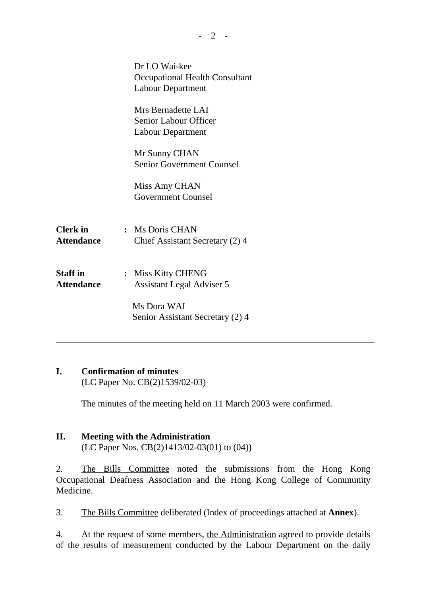|                                      | Dr LO Wai-kee<br><b>Occupational Health Consultant</b><br><b>Labour Department</b> |
|--------------------------------------|------------------------------------------------------------------------------------|
|                                      | Mrs Bernadette LAI<br><b>Senior Labour Officer</b><br><b>Labour Department</b>     |
|                                      | Mr Sunny CHAN<br><b>Senior Government Counsel</b>                                  |
|                                      | Miss Amy CHAN<br><b>Government Counsel</b>                                         |
| <b>Clerk</b> in<br><b>Attendance</b> | : Ms Doris CHAN<br>Chief Assistant Secretary (2) 4                                 |
| <b>Staff</b> in<br><b>Attendance</b> | <b>Miss Kitty CHENG</b><br><b>Assistant Legal Adviser 5</b>                        |
|                                      | Ms Dora WAI<br>Senior Assistant Secretary (2) 4                                    |

### **I. Confirmation of minutes**

(LC Paper No. CB(2)1539/02-03)

The minutes of the meeting held on 11 March 2003 were confirmed.

## **II. Meeting with the Administration**

(LC Paper Nos. CB(2)1413/02-03(01) to (04))

2. The Bills Committee noted the submissions from the Hong Kong Occupational Deafness Association and the Hong Kong College of Community Medicine.

3. The Bills Committee deliberated (Index of proceedings attached at **Annex**).

4. At the request of some members, the Administration agreed to provide details of the results of measurement conducted by the Labour Department on the daily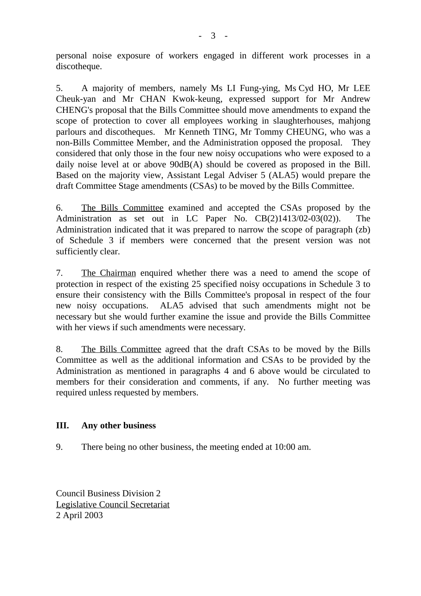personal noise exposure of workers engaged in different work processes in a discotheque.

5. A majority of members, namely Ms LI Fung-ying, Ms Cyd HO, Mr LEE Cheuk-yan and Mr CHAN Kwok-keung, expressed support for Mr Andrew CHENG's proposal that the Bills Committee should move amendments to expand the scope of protection to cover all employees working in slaughterhouses, mahjong parlours and discotheques. Mr Kenneth TING, Mr Tommy CHEUNG, who was a non-Bills Committee Member, and the Administration opposed the proposal. They considered that only those in the four new noisy occupations who were exposed to a daily noise level at or above 90dB(A) should be covered as proposed in the Bill. Based on the majority view, Assistant Legal Adviser 5 (ALA5) would prepare the draft Committee Stage amendments (CSAs) to be moved by the Bills Committee.

6. The Bills Committee examined and accepted the CSAs proposed by the Administration as set out in LC Paper No. CB(2)1413/02-03(02)). The Administration indicated that it was prepared to narrow the scope of paragraph (zb) of Schedule 3 if members were concerned that the present version was not sufficiently clear.

7. The Chairman enquired whether there was a need to amend the scope of protection in respect of the existing 25 specified noisy occupations in Schedule 3 to ensure their consistency with the Bills Committee's proposal in respect of the four new noisy occupations. ALA5 advised that such amendments might not be necessary but she would further examine the issue and provide the Bills Committee with her views if such amendments were necessary.

8. The Bills Committee agreed that the draft CSAs to be moved by the Bills Committee as well as the additional information and CSAs to be provided by the Administration as mentioned in paragraphs 4 and 6 above would be circulated to members for their consideration and comments, if any. No further meeting was required unless requested by members.

### **III. Any other business**

9. There being no other business, the meeting ended at 10:00 am.

Council Business Division 2 Legislative Council Secretariat 2 April 2003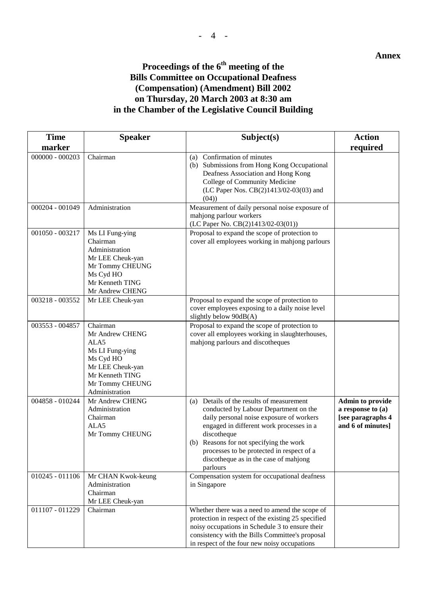#### **Annex**

## Proceedings of the  $6^{\text{th}}$  meeting of the **Bills Committee on Occupational Deafness (Compensation) (Amendment) Bill 2002 on Thursday, 20 March 2003 at 8:30 am**

## **in the Chamber of the Legislative Council Building**

| <b>Time</b>       | <b>Speaker</b>                                                                                                                                              | Subject(s)                                                                                                                                                                                                                                                                                                                             | <b>Action</b>                                                                          |
|-------------------|-------------------------------------------------------------------------------------------------------------------------------------------------------------|----------------------------------------------------------------------------------------------------------------------------------------------------------------------------------------------------------------------------------------------------------------------------------------------------------------------------------------|----------------------------------------------------------------------------------------|
| marker            |                                                                                                                                                             |                                                                                                                                                                                                                                                                                                                                        | required                                                                               |
| $000000 - 000203$ | Chairman                                                                                                                                                    | (a) Confirmation of minutes<br>(b) Submissions from Hong Kong Occupational<br>Deafness Association and Hong Kong<br>College of Community Medicine<br>(LC Paper Nos. CB(2)1413/02-03(03) and<br>(04)                                                                                                                                    |                                                                                        |
| 000204 - 001049   | Administration                                                                                                                                              | Measurement of daily personal noise exposure of<br>mahjong parlour workers<br>(LC Paper No. CB(2)1413/02-03(01))                                                                                                                                                                                                                       |                                                                                        |
| 001050 - 003217   | Ms LI Fung-ying<br>Chairman<br>Administration<br>Mr LEE Cheuk-yan<br>Mr Tommy CHEUNG<br>Ms Cyd HO<br>Mr Kenneth TING<br>Mr Andrew CHENG                     | Proposal to expand the scope of protection to<br>cover all employees working in mahjong parlours                                                                                                                                                                                                                                       |                                                                                        |
| 003218 - 003552   | Mr LEE Cheuk-yan                                                                                                                                            | Proposal to expand the scope of protection to<br>cover employees exposing to a daily noise level<br>slightly below $90dB(A)$                                                                                                                                                                                                           |                                                                                        |
| 003553 - 004857   | Chairman<br>Mr Andrew CHENG<br>ALA <sub>5</sub><br>Ms LI Fung-ying<br>Ms Cyd HO<br>Mr LEE Cheuk-yan<br>Mr Kenneth TING<br>Mr Tommy CHEUNG<br>Administration | Proposal to expand the scope of protection to<br>cover all employees working in slaughterhouses,<br>mahjong parlours and discotheques                                                                                                                                                                                                  |                                                                                        |
| 004858 - 010244   | Mr Andrew CHENG<br>Administration<br>Chairman<br>ALA5<br>Mr Tommy CHEUNG                                                                                    | (a) Details of the results of measurement<br>conducted by Labour Department on the<br>daily personal noise exposure of workers<br>engaged in different work processes in a<br>discotheque<br>(b) Reasons for not specifying the work<br>processes to be protected in respect of a<br>discotheque as in the case of mahjong<br>parlours | <b>Admin to provide</b><br>a response to (a)<br>[see paragraphs 4<br>and 6 of minutes] |
| 010245 - 011106   | Mr CHAN Kwok-keung<br>Administration<br>Chairman<br>Mr LEE Cheuk-yan                                                                                        | Compensation system for occupational deafness<br>in Singapore                                                                                                                                                                                                                                                                          |                                                                                        |
| 011107 - 011229   | Chairman                                                                                                                                                    | Whether there was a need to amend the scope of<br>protection in respect of the existing 25 specified<br>noisy occupations in Schedule 3 to ensure their<br>consistency with the Bills Committee's proposal<br>in respect of the four new noisy occupations                                                                             |                                                                                        |